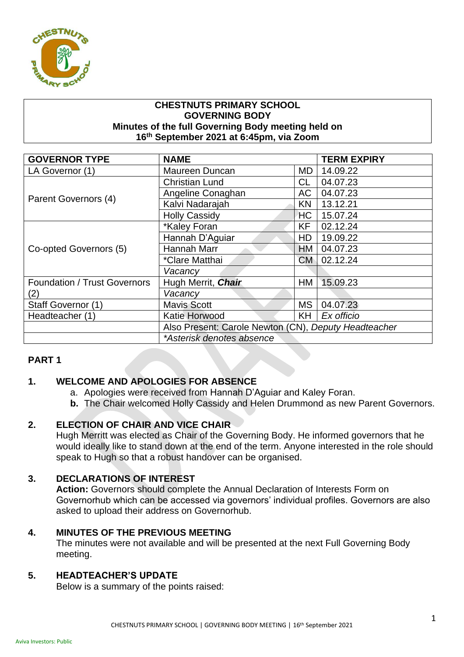

### **CHESTNUTS PRIMARY SCHOOL GOVERNING BODY Minutes of the full Governing Body meeting held on 16th September 2021 at 6:45pm, via Zoom**

| <b>GOVERNOR TYPE</b>                | <b>NAME</b>                                          |           | <b>TERM EXPIRY</b> |
|-------------------------------------|------------------------------------------------------|-----------|--------------------|
| LA Governor (1)                     | Maureen Duncan                                       | MD.       | 14.09.22           |
| Parent Governors (4)                | <b>Christian Lund</b>                                | <b>CL</b> | 04.07.23           |
|                                     | Angeline Conaghan                                    | <b>AC</b> | 04.07.23           |
|                                     | Kalvi Nadarajah                                      | <b>KN</b> | 13.12.21           |
|                                     | <b>Holly Cassidy</b>                                 | <b>HC</b> | 15.07.24           |
| Co-opted Governors (5)              | *Kaley Foran                                         | <b>KF</b> | 02.12.24           |
|                                     | Hannah D'Aguiar                                      | HD        | 19.09.22           |
|                                     | Hannah Marr                                          | <b>HM</b> | 04.07.23           |
|                                     | *Clare Matthai                                       | <b>CM</b> | 02.12.24           |
|                                     | Vacancy                                              |           |                    |
| <b>Foundation / Trust Governors</b> | Hugh Merrit, Chair                                   | HM        | 15.09.23           |
| (2)                                 | Vacancy                                              |           |                    |
| Staff Governor (1)                  | <b>Mavis Scott</b>                                   | MS.       | 04.07.23           |
| Headteacher (1)                     | Katie Horwood                                        | KH.       | Ex officio         |
|                                     | Also Present: Carole Newton (CN), Deputy Headteacher |           |                    |
|                                     | *Asterisk denotes absence                            |           |                    |

# **PART 1**

# **1. WELCOME AND APOLOGIES FOR ABSENCE**

- a. Apologies were received from Hannah D'Aguiar and Kaley Foran.
- **b.** The Chair welcomed Holly Cassidy and Helen Drummond as new Parent Governors.

# **2. ELECTION OF CHAIR AND VICE CHAIR**

Hugh Merritt was elected as Chair of the Governing Body. He informed governors that he would ideally like to stand down at the end of the term. Anyone interested in the role should speak to Hugh so that a robust handover can be organised.

# **3. DECLARATIONS OF INTEREST**

**Action:** Governors should complete the Annual Declaration of Interests Form on Governorhub which can be accessed via governors' individual profiles. Governors are also asked to upload their address on Governorhub.

### **4. MINUTES OF THE PREVIOUS MEETING**

The minutes were not available and will be presented at the next Full Governing Body meeting.

### **5. HEADTEACHER'S UPDATE**

Below is a summary of the points raised: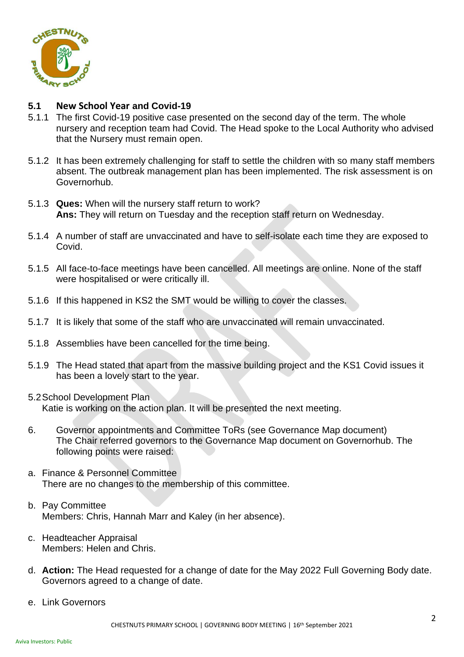

## **5.1 New School Year and Covid-19**

- 5.1.1 The first Covid-19 positive case presented on the second day of the term. The whole nursery and reception team had Covid. The Head spoke to the Local Authority who advised that the Nursery must remain open.
- 5.1.2 It has been extremely challenging for staff to settle the children with so many staff members absent. The outbreak management plan has been implemented. The risk assessment is on Governorhub.
- 5.1.3 **Ques:** When will the nursery staff return to work? **Ans:** They will return on Tuesday and the reception staff return on Wednesday.
- 5.1.4 A number of staff are unvaccinated and have to self-isolate each time they are exposed to Covid.
- 5.1.5 All face-to-face meetings have been cancelled. All meetings are online. None of the staff were hospitalised or were critically ill.
- 5.1.6 If this happened in KS2 the SMT would be willing to cover the classes.
- 5.1.7 It is likely that some of the staff who are unvaccinated will remain unvaccinated.
- 5.1.8 Assemblies have been cancelled for the time being.
- 5.1.9 The Head stated that apart from the massive building project and the KS1 Covid issues it has been a lovely start to the year.
- 5.2School Development Plan Katie is working on the action plan. It will be presented the next meeting.
- 6. Governor appointments and Committee ToRs (see Governance Map document) The Chair referred governors to the Governance Map document on Governorhub. The following points were raised:
- a. Finance & Personnel Committee There are no changes to the membership of this committee.
- b. Pay Committee Members: Chris, Hannah Marr and Kaley (in her absence).
- c. Headteacher Appraisal Members: Helen and Chris.
- d. **Action:** The Head requested for a change of date for the May 2022 Full Governing Body date. Governors agreed to a change of date.
- e. Link Governors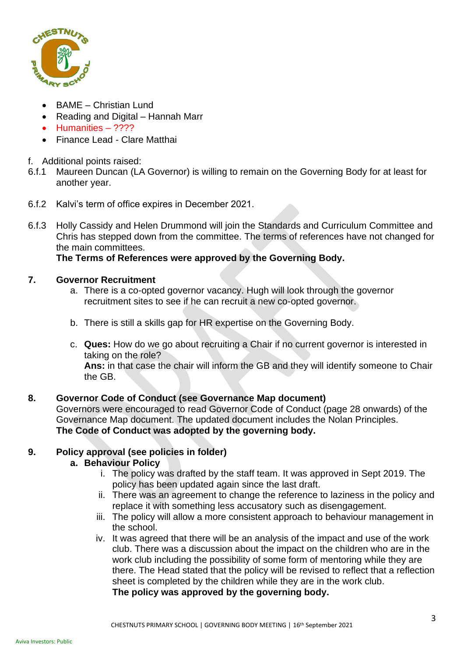

- BAME Christian Lund
- Reading and Digital Hannah Marr
- Humanities ????
- Finance Lead Clare Matthai
- f. Additional points raised:
- 6.f.1 Maureen Duncan (LA Governor) is willing to remain on the Governing Body for at least for another year.
- 6.f.2 Kalvi's term of office expires in December 2021.
- 6.f.3 Holly Cassidy and Helen Drummond will join the Standards and Curriculum Committee and Chris has stepped down from the committee. The terms of references have not changed for the main committees.

**The Terms of References were approved by the Governing Body.**

## **7. Governor Recruitment**

- a. There is a co-opted governor vacancy. Hugh will look through the governor recruitment sites to see if he can recruit a new co-opted governor.
- b. There is still a skills gap for HR expertise on the Governing Body.
- c. **Ques:** How do we go about recruiting a Chair if no current governor is interested in taking on the role?

**Ans:** in that case the chair will inform the GB and they will identify someone to Chair the GB.

### **8. Governor Code of Conduct (see Governance Map document)**

Governors were encouraged to read Governor Code of Conduct (page 28 onwards) of the Governance Map document. The updated document includes the Nolan Principles. **The Code of Conduct was adopted by the governing body.**

# **9. Policy approval (see policies in folder)**

### **a. Behaviour Policy**

- i. The policy was drafted by the staff team. It was approved in Sept 2019. The policy has been updated again since the last draft.
- ii. There was an agreement to change the reference to laziness in the policy and replace it with something less accusatory such as disengagement.
- iii. The policy will allow a more consistent approach to behaviour management in the school.
- iv. It was agreed that there will be an analysis of the impact and use of the work club. There was a discussion about the impact on the children who are in the work club including the possibility of some form of mentoring while they are there. The Head stated that the policy will be revised to reflect that a reflection sheet is completed by the children while they are in the work club.

**The policy was approved by the governing body.**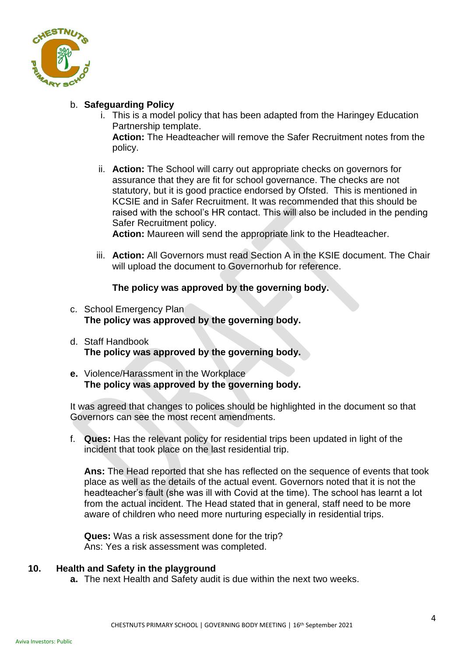

# b. **Safeguarding Policy**

- i. This is a model policy that has been adapted from the Haringey Education Partnership template. **Action:** The Headteacher will remove the Safer Recruitment notes from the policy.
- ii. **Action:** The School will carry out appropriate checks on governors for assurance that they are fit for school governance. The checks are not statutory, but it is good practice endorsed by Ofsted. This is mentioned in KCSIE and in Safer Recruitment. It was recommended that this should be raised with the school's HR contact. This will also be included in the pending Safer Recruitment policy.

**Action:** Maureen will send the appropriate link to the Headteacher.

iii. **Action:** All Governors must read Section A in the KSIE document. The Chair will upload the document to Governorhub for reference.

## **The policy was approved by the governing body.**

- c. School Emergency Plan **The policy was approved by the governing body.**
- d. Staff Handbook **The policy was approved by the governing body.**
- **e.** Violence/Harassment in the Workplace **The policy was approved by the governing body.**

It was agreed that changes to polices should be highlighted in the document so that Governors can see the most recent amendments.

f. **Ques:** Has the relevant policy for residential trips been updated in light of the incident that took place on the last residential trip.

**Ans:** The Head reported that she has reflected on the sequence of events that took place as well as the details of the actual event. Governors noted that it is not the headteacher's fault (she was ill with Covid at the time). The school has learnt a lot from the actual incident. The Head stated that in general, staff need to be more aware of children who need more nurturing especially in residential trips.

**Ques:** Was a risk assessment done for the trip? Ans: Yes a risk assessment was completed.

### **10. Health and Safety in the playground**

**a.** The next Health and Safety audit is due within the next two weeks.